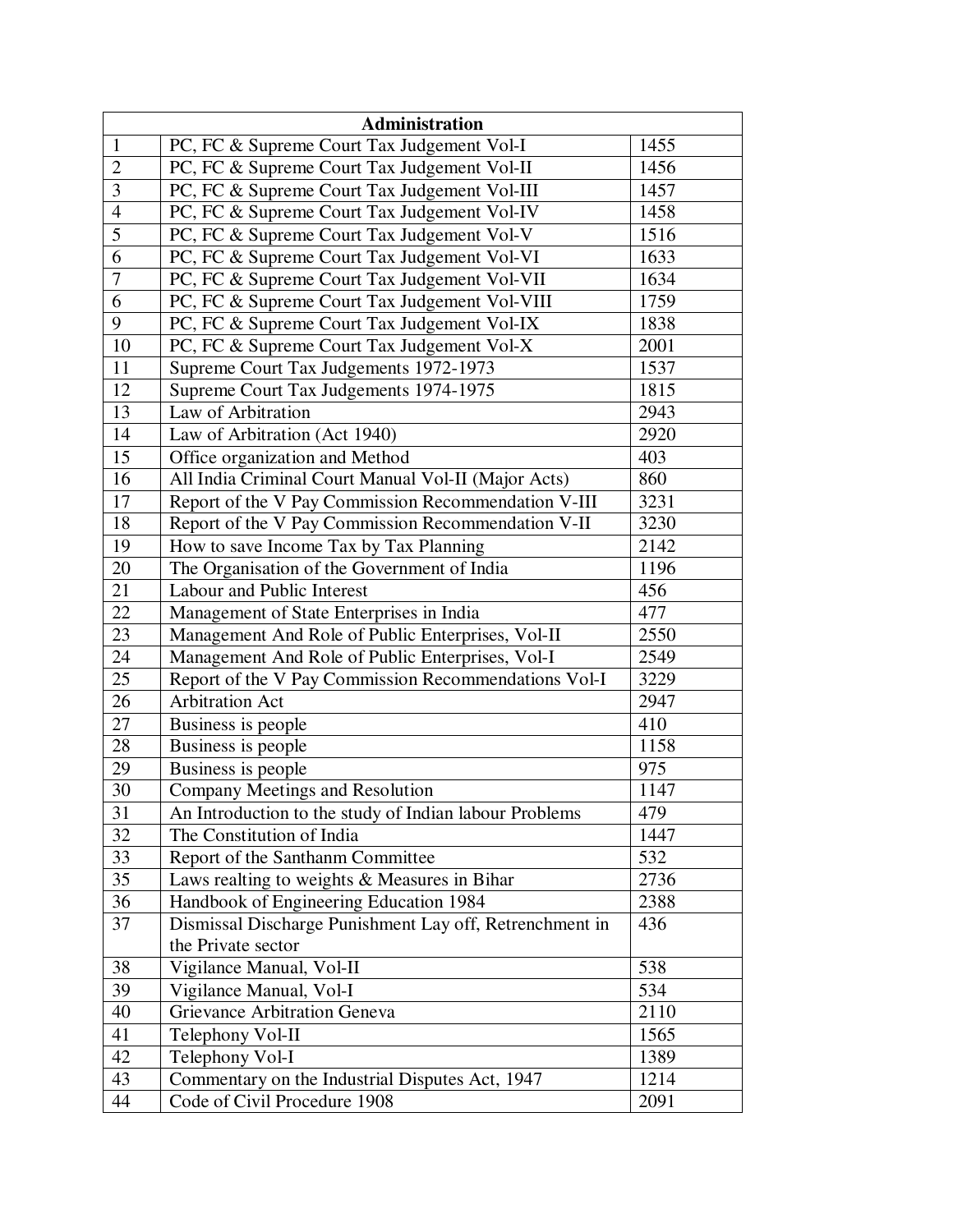|                         | Administration                                          |      |
|-------------------------|---------------------------------------------------------|------|
| $\mathbf{1}$            | PC, FC & Supreme Court Tax Judgement Vol-I              | 1455 |
| $\sqrt{2}$              | PC, FC & Supreme Court Tax Judgement Vol-II             | 1456 |
| $\overline{\mathbf{3}}$ | PC, FC & Supreme Court Tax Judgement Vol-III            | 1457 |
| $\overline{4}$          | PC, FC & Supreme Court Tax Judgement Vol-IV             | 1458 |
| 5                       | PC, FC & Supreme Court Tax Judgement Vol-V              | 1516 |
| $\overline{6}$          | PC, FC & Supreme Court Tax Judgement Vol-VI             | 1633 |
| $\boldsymbol{7}$        | PC, FC & Supreme Court Tax Judgement Vol-VII            | 1634 |
| 6                       | PC, FC & Supreme Court Tax Judgement Vol-VIII           | 1759 |
| 9                       | PC, FC & Supreme Court Tax Judgement Vol-IX             | 1838 |
| 10                      | PC, FC & Supreme Court Tax Judgement Vol-X              | 2001 |
| 11                      | Supreme Court Tax Judgements 1972-1973                  | 1537 |
| 12                      | Supreme Court Tax Judgements 1974-1975                  | 1815 |
| 13                      | Law of Arbitration                                      | 2943 |
| 14                      | Law of Arbitration (Act 1940)                           | 2920 |
| 15                      | Office organization and Method                          | 403  |
| 16                      | All India Criminal Court Manual Vol-II (Major Acts)     | 860  |
| 17                      | Report of the V Pay Commission Recommendation V-III     | 3231 |
| 18                      | Report of the V Pay Commission Recommendation V-II      | 3230 |
| 19                      | How to save Income Tax by Tax Planning                  | 2142 |
| 20                      | The Organisation of the Government of India             | 1196 |
| 21                      | Labour and Public Interest                              | 456  |
| 22                      | Management of State Enterprises in India                | 477  |
| 23                      | Management And Role of Public Enterprises, Vol-II       | 2550 |
| 24                      | Management And Role of Public Enterprises, Vol-I        | 2549 |
| 25                      | Report of the V Pay Commission Recommendations Vol-I    | 3229 |
| 26                      | <b>Arbitration Act</b>                                  | 2947 |
| 27                      | Business is people                                      | 410  |
| 28                      | Business is people                                      | 1158 |
| 29                      | Business is people                                      | 975  |
| 30                      | Company Meetings and Resolution                         | 1147 |
| 31                      | An Introduction to the study of Indian labour Problems  | 479  |
| 32                      | The Constitution of India                               | 1447 |
| 33                      | Report of the Santhanm Committee                        | 532  |
| 35                      | Laws realting to weights & Measures in Bihar            | 2736 |
| 36                      | Handbook of Engineering Education 1984                  | 2388 |
| 37                      | Dismissal Discharge Punishment Lay off, Retrenchment in | 436  |
|                         | the Private sector                                      |      |
| 38                      | Vigilance Manual, Vol-II                                | 538  |
| 39                      | Vigilance Manual, Vol-I                                 | 534  |
| 40                      | Grievance Arbitration Geneva                            | 2110 |
| 41                      | Telephony Vol-II                                        | 1565 |
| 42                      | Telephony Vol-I                                         | 1389 |
| 43                      | Commentary on the Industrial Disputes Act, 1947         | 1214 |
| 44                      | Code of Civil Procedure 1908                            | 2091 |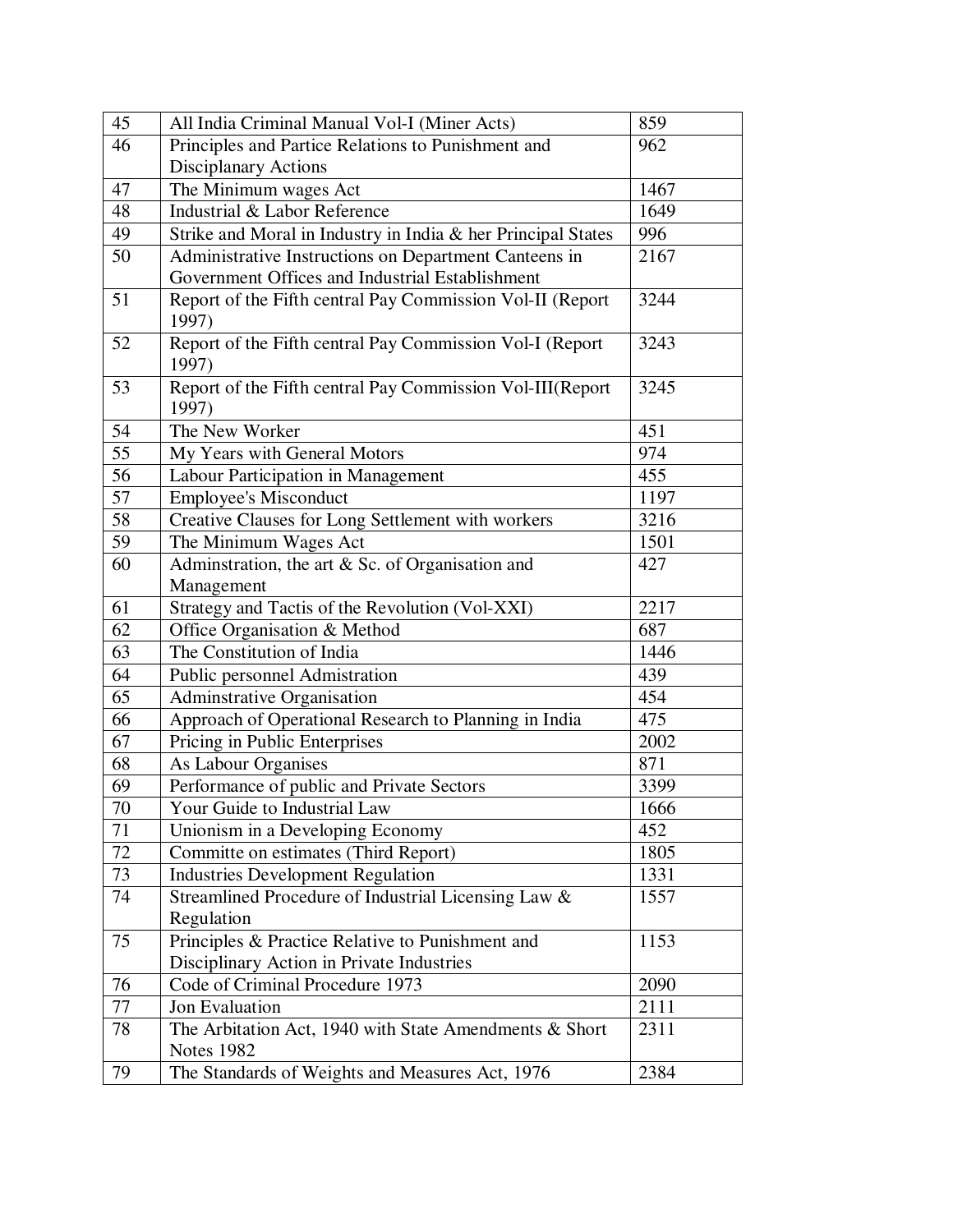| 45 | All India Criminal Manual Vol-I (Miner Acts)                 | 859  |
|----|--------------------------------------------------------------|------|
| 46 | Principles and Partice Relations to Punishment and           | 962  |
|    | Disciplanary Actions                                         |      |
| 47 | The Minimum wages Act                                        | 1467 |
| 48 | Industrial & Labor Reference                                 | 1649 |
| 49 | Strike and Moral in Industry in India & her Principal States | 996  |
| 50 | Administrative Instructions on Department Canteens in        | 2167 |
|    | Government Offices and Industrial Establishment              |      |
| 51 | Report of the Fifth central Pay Commission Vol-II (Report    | 3244 |
|    | 1997)                                                        |      |
| 52 | Report of the Fifth central Pay Commission Vol-I (Report     | 3243 |
|    | 1997)                                                        |      |
| 53 | Report of the Fifth central Pay Commission Vol-III(Report    | 3245 |
|    | 1997)                                                        |      |
| 54 | The New Worker                                               | 451  |
| 55 | My Years with General Motors                                 | 974  |
| 56 | Labour Participation in Management                           | 455  |
| 57 | <b>Employee's Misconduct</b>                                 | 1197 |
| 58 | Creative Clauses for Long Settlement with workers            | 3216 |
| 59 | The Minimum Wages Act                                        | 1501 |
| 60 | Adminstration, the art $\&$ Sc. of Organisation and          | 427  |
|    | Management                                                   |      |
| 61 | Strategy and Tactis of the Revolution (Vol-XXI)              | 2217 |
| 62 | Office Organisation & Method                                 | 687  |
| 63 | The Constitution of India                                    | 1446 |
| 64 | Public personnel Admistration                                | 439  |
| 65 | Adminstrative Organisation                                   | 454  |
| 66 | Approach of Operational Research to Planning in India        | 475  |
| 67 | Pricing in Public Enterprises                                | 2002 |
| 68 | As Labour Organises                                          | 871  |
| 69 | Performance of public and Private Sectors                    | 3399 |
| 70 | Your Guide to Industrial Law                                 | 1666 |
| 71 | Unionism in a Developing Economy                             | 452  |
| 72 | Committe on estimates (Third Report)                         | 1805 |
| 73 | <b>Industries Development Regulation</b>                     | 1331 |
| 74 | Streamlined Procedure of Industrial Licensing Law &          | 1557 |
|    | Regulation                                                   |      |
| 75 | Principles & Practice Relative to Punishment and             | 1153 |
|    | Disciplinary Action in Private Industries                    |      |
| 76 | Code of Criminal Procedure 1973                              | 2090 |
| 77 | Jon Evaluation                                               | 2111 |
| 78 | The Arbitation Act, 1940 with State Amendments $& Short$     | 2311 |
|    | <b>Notes 1982</b>                                            |      |
| 79 | The Standards of Weights and Measures Act, 1976              | 2384 |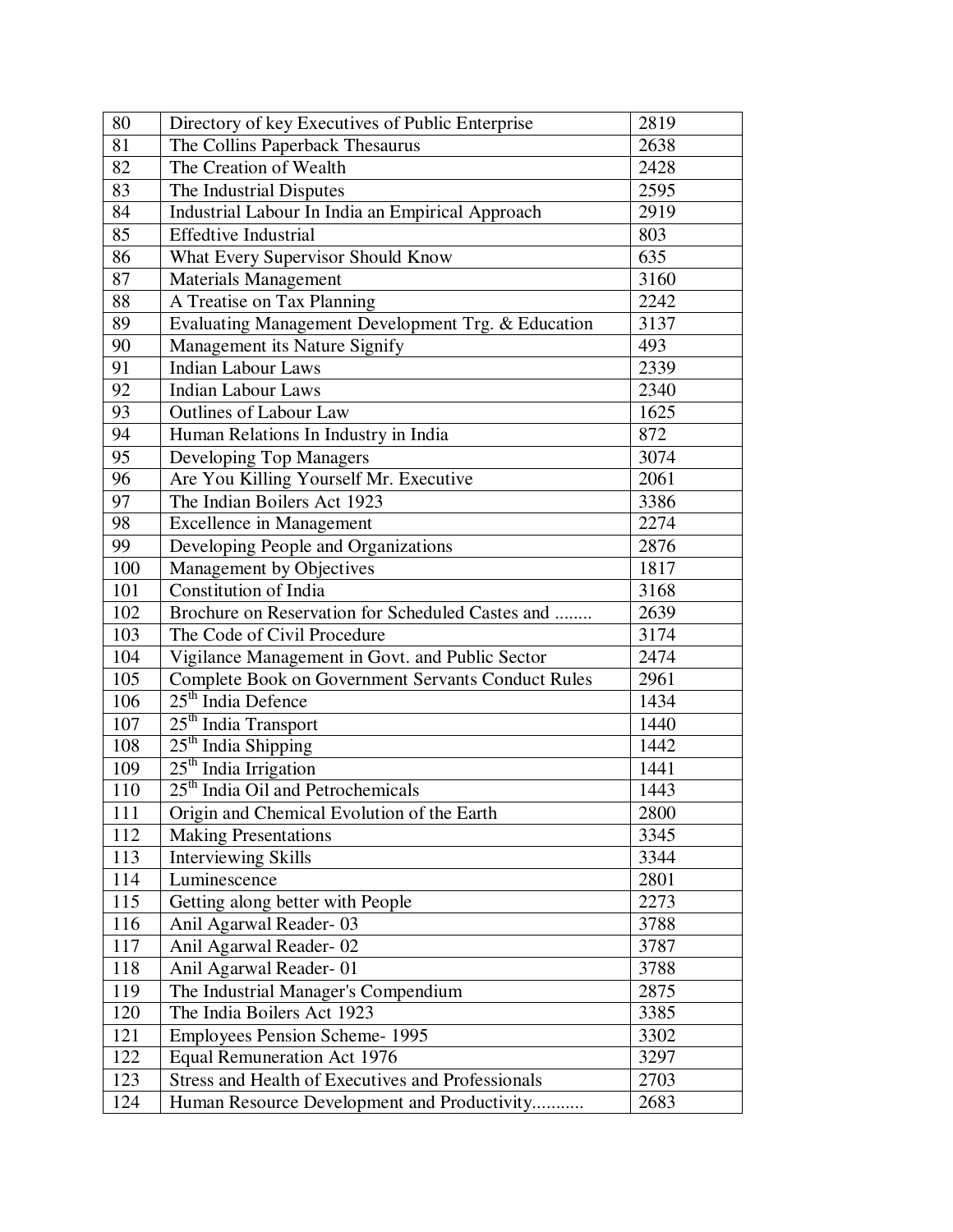| 80  | Directory of key Executives of Public Enterprise          | 2819 |
|-----|-----------------------------------------------------------|------|
| 81  | The Collins Paperback Thesaurus                           | 2638 |
| 82  | The Creation of Wealth                                    | 2428 |
| 83  | The Industrial Disputes                                   | 2595 |
| 84  | Industrial Labour In India an Empirical Approach          | 2919 |
| 85  | <b>Effedtive Industrial</b>                               | 803  |
| 86  | What Every Supervisor Should Know                         | 635  |
| 87  | <b>Materials Management</b>                               | 3160 |
| 88  | A Treatise on Tax Planning                                | 2242 |
| 89  | Evaluating Management Development Trg. & Education        | 3137 |
| 90  | Management its Nature Signify                             | 493  |
| 91  | <b>Indian Labour Laws</b>                                 | 2339 |
| 92  | <b>Indian Labour Laws</b>                                 | 2340 |
| 93  | <b>Outlines of Labour Law</b>                             | 1625 |
| 94  | Human Relations In Industry in India                      | 872  |
| 95  | Developing Top Managers                                   | 3074 |
| 96  | Are You Killing Yourself Mr. Executive                    | 2061 |
| 97  | The Indian Boilers Act 1923                               | 3386 |
| 98  | <b>Excellence in Management</b>                           | 2274 |
| 99  | Developing People and Organizations                       | 2876 |
| 100 | Management by Objectives                                  | 1817 |
| 101 | <b>Constitution of India</b>                              | 3168 |
| 102 | Brochure on Reservation for Scheduled Castes and          | 2639 |
| 103 | The Code of Civil Procedure                               | 3174 |
| 104 | Vigilance Management in Govt. and Public Sector           | 2474 |
| 105 | <b>Complete Book on Government Servants Conduct Rules</b> | 2961 |
| 106 | 25 <sup>th</sup> India Defence                            | 1434 |
| 107 | 25 <sup>th</sup> India Transport                          | 1440 |
| 108 | 25 <sup>th</sup> India Shipping                           | 1442 |
| 109 | 25 <sup>th</sup> India Irrigation                         | 1441 |
| 110 | 25 <sup>th</sup> India Oil and Petrochemicals             | 1443 |
| 111 | Origin and Chemical Evolution of the Earth                | 2800 |
| 112 | <b>Making Presentations</b>                               | 3345 |
| 113 | <b>Interviewing Skills</b>                                | 3344 |
| 114 | Luminescence                                              | 2801 |
| 115 | Getting along better with People                          | 2273 |
| 116 | Anil Agarwal Reader-03                                    | 3788 |
| 117 | Anil Agarwal Reader-02                                    | 3787 |
| 118 | Anil Agarwal Reader-01                                    | 3788 |
| 119 | The Industrial Manager's Compendium                       | 2875 |
| 120 | The India Boilers Act 1923                                | 3385 |
| 121 | <b>Employees Pension Scheme-1995</b>                      | 3302 |
| 122 | <b>Equal Remuneration Act 1976</b>                        | 3297 |
| 123 | Stress and Health of Executives and Professionals         | 2703 |
| 124 | Human Resource Development and Productivity               | 2683 |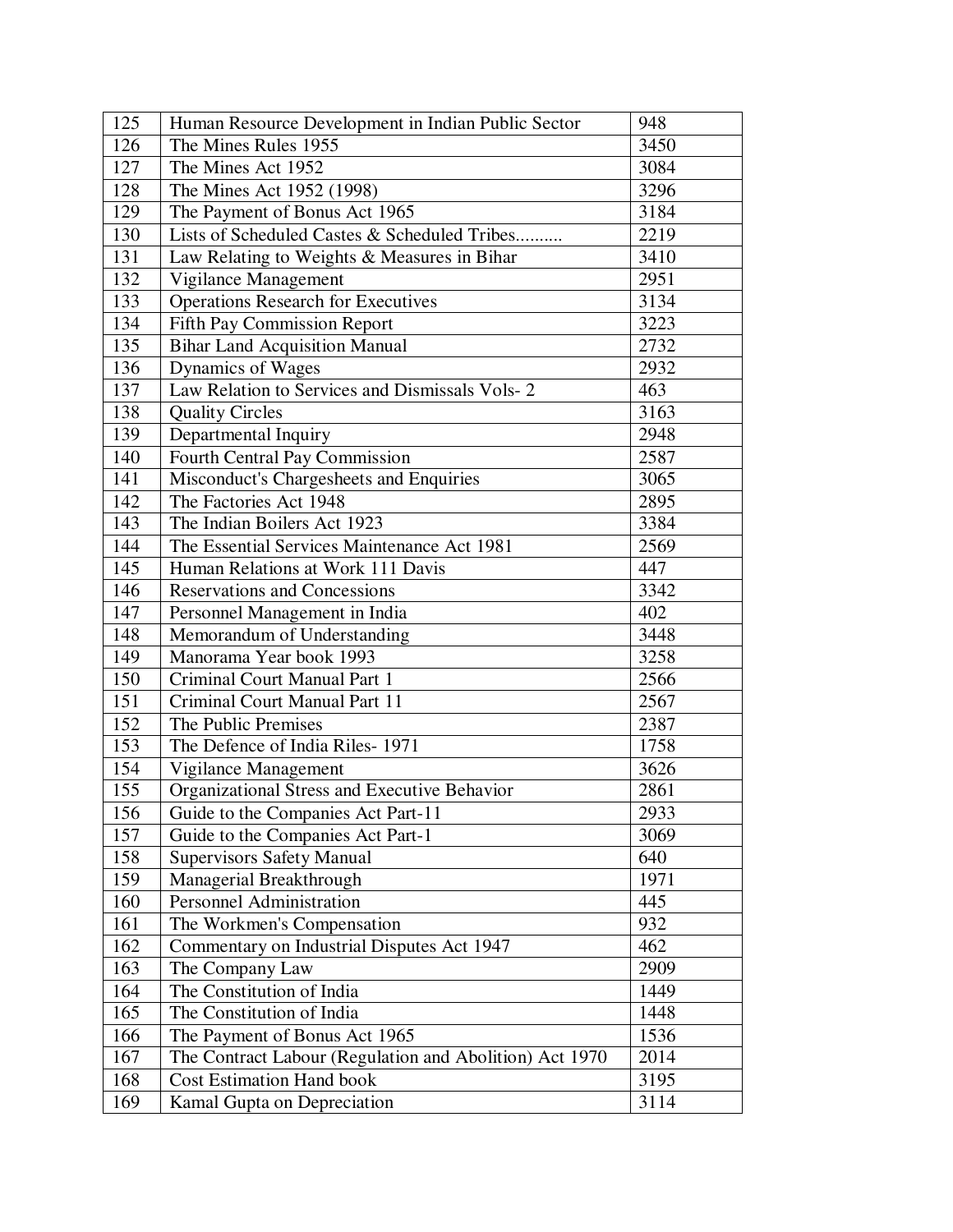| 125 | Human Resource Development in Indian Public Sector      | 948  |
|-----|---------------------------------------------------------|------|
| 126 | The Mines Rules 1955                                    | 3450 |
| 127 | The Mines Act 1952                                      | 3084 |
| 128 | The Mines Act 1952 (1998)                               | 3296 |
| 129 | The Payment of Bonus Act 1965                           | 3184 |
| 130 | Lists of Scheduled Castes & Scheduled Tribes            | 2219 |
| 131 | Law Relating to Weights & Measures in Bihar             | 3410 |
| 132 | Vigilance Management                                    | 2951 |
| 133 | <b>Operations Research for Executives</b>               | 3134 |
| 134 | Fifth Pay Commission Report                             | 3223 |
| 135 | <b>Bihar Land Acquisition Manual</b>                    | 2732 |
| 136 | Dynamics of Wages                                       | 2932 |
| 137 | Law Relation to Services and Dismissals Vols-2          | 463  |
| 138 | <b>Quality Circles</b>                                  | 3163 |
| 139 | Departmental Inquiry                                    | 2948 |
| 140 | Fourth Central Pay Commission                           | 2587 |
| 141 | Misconduct's Chargesheets and Enquiries                 | 3065 |
| 142 | The Factories Act 1948                                  | 2895 |
| 143 | The Indian Boilers Act 1923                             | 3384 |
| 144 | The Essential Services Maintenance Act 1981             | 2569 |
| 145 | Human Relations at Work 111 Davis                       | 447  |
| 146 | <b>Reservations and Concessions</b>                     | 3342 |
| 147 | Personnel Management in India                           | 402  |
| 148 | Memorandum of Understanding                             | 3448 |
| 149 | Manorama Year book 1993                                 | 3258 |
| 150 | Criminal Court Manual Part 1                            | 2566 |
| 151 | Criminal Court Manual Part 11                           | 2567 |
| 152 | The Public Premises                                     | 2387 |
| 153 | The Defence of India Riles-1971                         | 1758 |
| 154 | Vigilance Management                                    | 3626 |
| 155 | Organizational Stress and Executive Behavior            | 2861 |
| 156 | Guide to the Companies Act Part-11                      | 2933 |
| 157 | Guide to the Companies Act Part-1                       | 3069 |
| 158 | <b>Supervisors Safety Manual</b>                        | 640  |
| 159 | Managerial Breakthrough                                 | 1971 |
| 160 | Personnel Administration                                | 445  |
| 161 | The Workmen's Compensation                              | 932  |
| 162 | Commentary on Industrial Disputes Act 1947              | 462  |
| 163 | The Company Law                                         | 2909 |
| 164 | The Constitution of India                               | 1449 |
| 165 | The Constitution of India                               | 1448 |
| 166 | The Payment of Bonus Act 1965                           | 1536 |
| 167 | The Contract Labour (Regulation and Abolition) Act 1970 | 2014 |
| 168 | <b>Cost Estimation Hand book</b>                        | 3195 |
| 169 | Kamal Gupta on Depreciation                             | 3114 |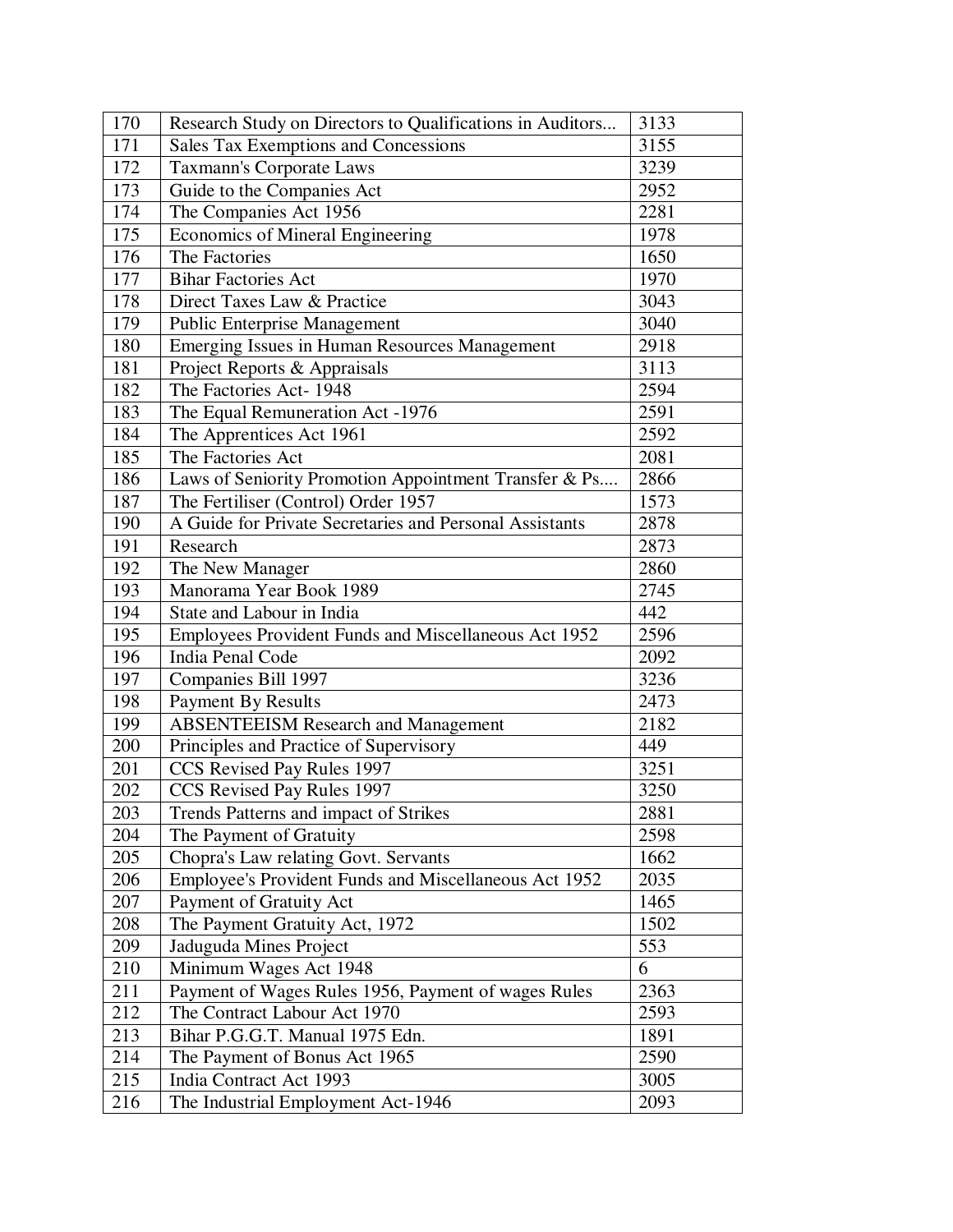| 170 | Research Study on Directors to Qualifications in Auditors | 3133 |
|-----|-----------------------------------------------------------|------|
| 171 | Sales Tax Exemptions and Concessions                      | 3155 |
| 172 | <b>Taxmann's Corporate Laws</b>                           | 3239 |
| 173 | Guide to the Companies Act                                | 2952 |
| 174 | The Companies Act 1956                                    | 2281 |
| 175 | <b>Economics of Mineral Engineering</b>                   | 1978 |
| 176 | The Factories                                             | 1650 |
| 177 | <b>Bihar Factories Act</b>                                | 1970 |
| 178 | Direct Taxes Law & Practice                               | 3043 |
| 179 | <b>Public Enterprise Management</b>                       | 3040 |
| 180 | Emerging Issues in Human Resources Management             | 2918 |
| 181 | Project Reports & Appraisals                              | 3113 |
| 182 | The Factories Act-1948                                    | 2594 |
| 183 | The Equal Remuneration Act -1976                          | 2591 |
| 184 | The Apprentices Act 1961                                  | 2592 |
| 185 | The Factories Act                                         | 2081 |
| 186 | Laws of Seniority Promotion Appointment Transfer & Ps     | 2866 |
| 187 | The Fertiliser (Control) Order 1957                       | 1573 |
| 190 | A Guide for Private Secretaries and Personal Assistants   | 2878 |
| 191 | Research                                                  | 2873 |
| 192 | The New Manager                                           | 2860 |
| 193 | Manorama Year Book 1989                                   | 2745 |
| 194 | State and Labour in India                                 | 442  |
| 195 | Employees Provident Funds and Miscellaneous Act 1952      | 2596 |
| 196 | India Penal Code                                          | 2092 |
| 197 | Companies Bill 1997                                       | 3236 |
| 198 | <b>Payment By Results</b>                                 | 2473 |
| 199 | <b>ABSENTEEISM Research and Management</b>                | 2182 |
| 200 | Principles and Practice of Supervisory                    | 449  |
| 201 | CCS Revised Pay Rules 1997                                | 3251 |
| 202 | CCS Revised Pay Rules 1997                                | 3250 |
| 203 | Trends Patterns and impact of Strikes                     | 2881 |
| 204 | The Payment of Gratuity                                   | 2598 |
| 205 | Chopra's Law relating Govt. Servants                      | 1662 |
| 206 | Employee's Provident Funds and Miscellaneous Act 1952     | 2035 |
| 207 | Payment of Gratuity Act                                   | 1465 |
| 208 | The Payment Gratuity Act, 1972                            | 1502 |
| 209 | Jaduguda Mines Project                                    | 553  |
| 210 | Minimum Wages Act 1948                                    | 6    |
| 211 | Payment of Wages Rules 1956, Payment of wages Rules       | 2363 |
| 212 | The Contract Labour Act 1970                              | 2593 |
| 213 | Bihar P.G.G.T. Manual 1975 Edn.                           | 1891 |
| 214 | The Payment of Bonus Act 1965                             | 2590 |
| 215 | India Contract Act 1993                                   | 3005 |
| 216 | The Industrial Employment Act-1946                        | 2093 |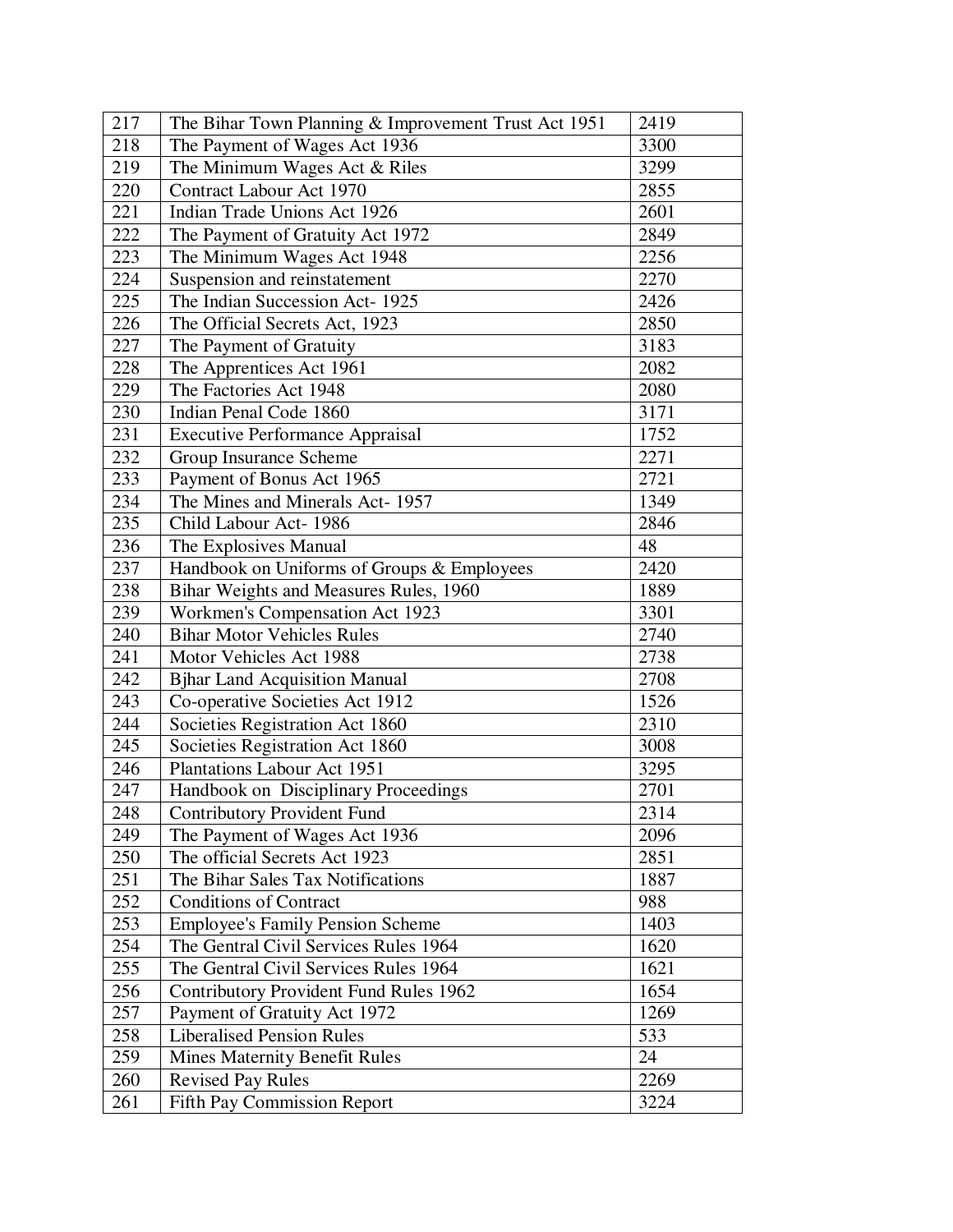| 217 | The Bihar Town Planning & Improvement Trust Act 1951 | 2419 |
|-----|------------------------------------------------------|------|
| 218 | The Payment of Wages Act 1936                        | 3300 |
| 219 | The Minimum Wages Act & Riles                        | 3299 |
| 220 | Contract Labour Act 1970                             | 2855 |
| 221 | Indian Trade Unions Act 1926                         | 2601 |
| 222 | The Payment of Gratuity Act 1972                     | 2849 |
| 223 | The Minimum Wages Act 1948                           | 2256 |
| 224 | Suspension and reinstatement                         | 2270 |
| 225 | The Indian Succession Act-1925                       | 2426 |
| 226 | The Official Secrets Act, 1923                       | 2850 |
| 227 | The Payment of Gratuity                              | 3183 |
| 228 | The Apprentices Act 1961                             | 2082 |
| 229 | The Factories Act 1948                               | 2080 |
| 230 | Indian Penal Code 1860                               | 3171 |
| 231 | <b>Executive Performance Appraisal</b>               | 1752 |
| 232 | Group Insurance Scheme                               | 2271 |
| 233 | Payment of Bonus Act 1965                            | 2721 |
| 234 | The Mines and Minerals Act-1957                      | 1349 |
| 235 | Child Labour Act-1986                                | 2846 |
| 236 | The Explosives Manual                                | 48   |
| 237 | Handbook on Uniforms of Groups & Employees           | 2420 |
| 238 | Bihar Weights and Measures Rules, 1960               | 1889 |
| 239 | Workmen's Compensation Act 1923                      | 3301 |
| 240 | <b>Bihar Motor Vehicles Rules</b>                    | 2740 |
| 241 | Motor Vehicles Act 1988                              | 2738 |
| 242 | <b>Bjhar Land Acquisition Manual</b>                 | 2708 |
| 243 | Co-operative Societies Act 1912                      | 1526 |
| 244 | Societies Registration Act 1860                      | 2310 |
| 245 | Societies Registration Act 1860                      | 3008 |
| 246 | Plantations Labour Act 1951                          | 3295 |
| 247 | Handbook on Disciplinary Proceedings                 | 2701 |
| 248 | <b>Contributory Provident Fund</b>                   | 2314 |
| 249 | The Payment of Wages Act 1936                        | 2096 |
| 250 | The official Secrets Act 1923                        | 2851 |
| 251 | The Bihar Sales Tax Notifications                    | 1887 |
| 252 | <b>Conditions of Contract</b>                        | 988  |
| 253 | <b>Employee's Family Pension Scheme</b>              | 1403 |
| 254 | The Gentral Civil Services Rules 1964                | 1620 |
| 255 | The Gentral Civil Services Rules 1964                | 1621 |
| 256 | <b>Contributory Provident Fund Rules 1962</b>        | 1654 |
| 257 | Payment of Gratuity Act 1972                         | 1269 |
| 258 | <b>Liberalised Pension Rules</b>                     | 533  |
| 259 | <b>Mines Maternity Benefit Rules</b>                 | 24   |
| 260 | <b>Revised Pay Rules</b>                             | 2269 |
| 261 | <b>Fifth Pay Commission Report</b>                   | 3224 |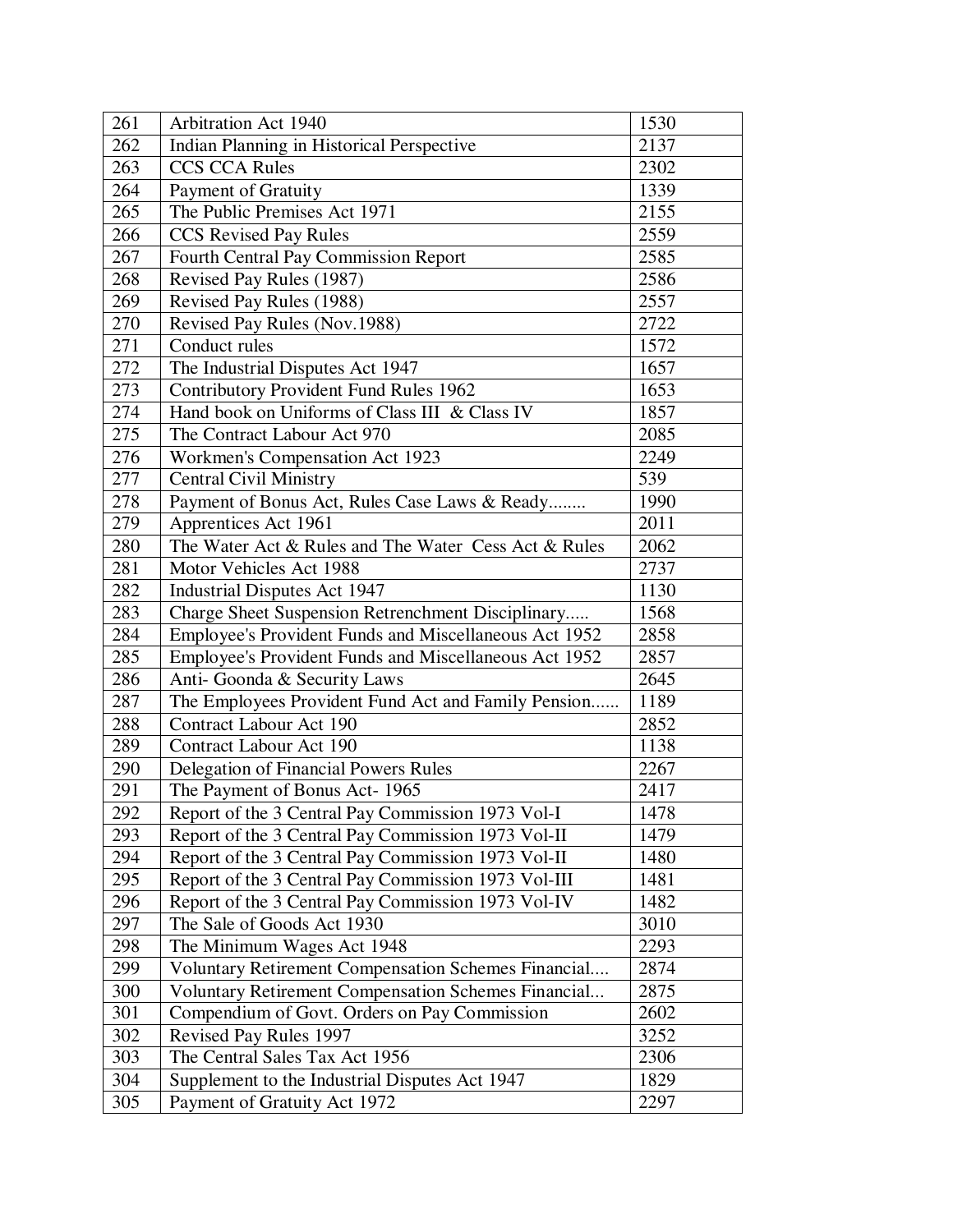| 261 | Arbitration Act 1940                                       | 1530 |
|-----|------------------------------------------------------------|------|
| 262 | Indian Planning in Historical Perspective                  | 2137 |
| 263 | <b>CCS CCA Rules</b>                                       | 2302 |
| 264 | Payment of Gratuity                                        | 1339 |
| 265 | The Public Premises Act 1971                               | 2155 |
| 266 | <b>CCS</b> Revised Pay Rules                               | 2559 |
| 267 | Fourth Central Pay Commission Report                       | 2585 |
| 268 | Revised Pay Rules (1987)                                   | 2586 |
| 269 | Revised Pay Rules (1988)                                   | 2557 |
| 270 | Revised Pay Rules (Nov.1988)                               | 2722 |
| 271 | Conduct rules                                              | 1572 |
| 272 | The Industrial Disputes Act 1947                           | 1657 |
| 273 | <b>Contributory Provident Fund Rules 1962</b>              | 1653 |
| 274 | Hand book on Uniforms of Class III & Class IV              | 1857 |
| 275 | The Contract Labour Act 970                                | 2085 |
| 276 | Workmen's Compensation Act 1923                            | 2249 |
| 277 | <b>Central Civil Ministry</b>                              | 539  |
| 278 | Payment of Bonus Act, Rules Case Laws & Ready              | 1990 |
| 279 | Apprentices Act 1961                                       | 2011 |
| 280 | The Water Act & Rules and The Water Cess Act & Rules       | 2062 |
| 281 | Motor Vehicles Act 1988                                    | 2737 |
| 282 | <b>Industrial Disputes Act 1947</b>                        | 1130 |
| 283 | Charge Sheet Suspension Retrenchment Disciplinary          | 1568 |
| 284 | Employee's Provident Funds and Miscellaneous Act 1952      | 2858 |
| 285 | Employee's Provident Funds and Miscellaneous Act 1952      | 2857 |
| 286 | Anti-Goonda & Security Laws                                | 2645 |
| 287 | The Employees Provident Fund Act and Family Pension        | 1189 |
| 288 | <b>Contract Labour Act 190</b>                             | 2852 |
| 289 | Contract Labour Act 190                                    | 1138 |
| 290 | <b>Delegation of Financial Powers Rules</b>                | 2267 |
| 291 | The Payment of Bonus Act-1965                              | 2417 |
| 292 | Report of the 3 Central Pay Commission 1973 Vol-I          | 1478 |
| 293 | Report of the 3 Central Pay Commission 1973 Vol-II         | 1479 |
| 294 | Report of the 3 Central Pay Commission 1973 Vol-II         | 1480 |
| 295 | Report of the 3 Central Pay Commission 1973 Vol-III        | 1481 |
| 296 | Report of the 3 Central Pay Commission 1973 Vol-IV         | 1482 |
| 297 | The Sale of Goods Act 1930                                 | 3010 |
| 298 | The Minimum Wages Act 1948                                 | 2293 |
| 299 | <b>Voluntary Retirement Compensation Schemes Financial</b> | 2874 |
| 300 | <b>Voluntary Retirement Compensation Schemes Financial</b> | 2875 |
| 301 | Compendium of Govt. Orders on Pay Commission               | 2602 |
| 302 | Revised Pay Rules 1997                                     | 3252 |
| 303 | The Central Sales Tax Act 1956                             | 2306 |
| 304 | Supplement to the Industrial Disputes Act 1947             | 1829 |
| 305 | Payment of Gratuity Act 1972                               | 2297 |